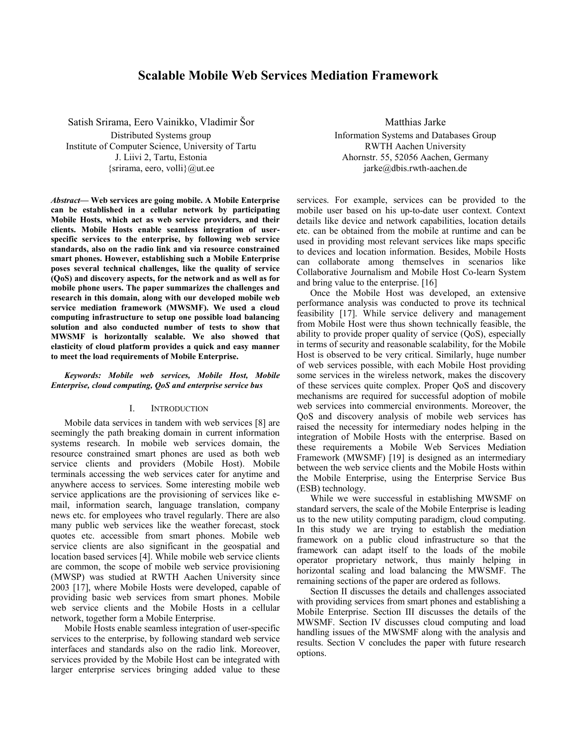# **Scalable Mobile Web Services Mediation Framework**

Satish Srirama, Eero Vainikko, Vladimir Šor Distributed Systems group Institute of Computer Science, University of Tartu J. Liivi 2, Tartu, Estonia  $\{srirama, eero, volli\}\omega t.ee$ 

*Abstract***— Web services are going mobile. A Mobile Enterprise can be established in a cellular network by participating Mobile Hosts, which act as web service providers, and their clients. Mobile Hosts enable seamless integration of userspecific services to the enterprise, by following web service standards, also on the radio link and via resource constrained smart phones. However, establishing such a Mobile Enterprise poses several technical challenges, like the quality of service (QoS) and discovery aspects, for the network and as well as for mobile phone users. The paper summarizes the challenges and research in this domain, along with our developed mobile web service mediation framework (MWSMF). We used a cloud computing infrastructure to setup one possible load balancing solution and also conducted number of tests to show that MWSMF is horizontally scalable. We also showed that elasticity of cloud platform provides a quick and easy manner to meet the load requirements of Mobile Enterprise.** 

### *Keywords: Mobile web services, Mobile Host, Mobile Enterprise, cloud computing, QoS and enterprise service bus*

# I. INTRODUCTION

Mobile data services in tandem with web services [8] are seemingly the path breaking domain in current information systems research. In mobile web services domain, the resource constrained smart phones are used as both web service clients and providers (Mobile Host). Mobile terminals accessing the web services cater for anytime and anywhere access to services. Some interesting mobile web service applications are the provisioning of services like email, information search, language translation, company news etc. for employees who travel regularly. There are also many public web services like the weather forecast, stock quotes etc. accessible from smart phones. Mobile web service clients are also significant in the geospatial and location based services [4]. While mobile web service clients are common, the scope of mobile web service provisioning (MWSP) was studied at RWTH Aachen University since 2003 [17], where Mobile Hosts were developed, capable of providing basic web services from smart phones. Mobile web service clients and the Mobile Hosts in a cellular network, together form a Mobile Enterprise.

Mobile Hosts enable seamless integration of user-specific services to the enterprise, by following standard web service interfaces and standards also on the radio link. Moreover, services provided by the Mobile Host can be integrated with larger enterprise services bringing added value to these

Matthias Jarke Information Systems and Databases Group RWTH Aachen University Ahornstr. 55, 52056 Aachen, Germany jarke@dbis.rwth-aachen.de

services. For example, services can be provided to the mobile user based on his up-to-date user context. Context details like device and network capabilities, location details etc. can be obtained from the mobile at runtime and can be used in providing most relevant services like maps specific to devices and location information. Besides, Mobile Hosts can collaborate among themselves in scenarios like Collaborative Journalism and Mobile Host Co-learn System and bring value to the enterprise. [16]

Once the Mobile Host was developed, an extensive performance analysis was conducted to prove its technical feasibility [17]. While service delivery and management from Mobile Host were thus shown technically feasible, the ability to provide proper quality of service (QoS), especially in terms of security and reasonable scalability, for the Mobile Host is observed to be very critical. Similarly, huge number of web services possible, with each Mobile Host providing some services in the wireless network, makes the discovery of these services quite complex. Proper QoS and discovery mechanisms are required for successful adoption of mobile web services into commercial environments. Moreover, the QoS and discovery analysis of mobile web services has raised the necessity for intermediary nodes helping in the integration of Mobile Hosts with the enterprise. Based on these requirements a Mobile Web Services Mediation Framework (MWSMF) [19] is designed as an intermediary between the web service clients and the Mobile Hosts within the Mobile Enterprise, using the Enterprise Service Bus (ESB) technology.

While we were successful in establishing MWSMF on standard servers, the scale of the Mobile Enterprise is leading us to the new utility computing paradigm, cloud computing. In this study we are trying to establish the mediation framework on a public cloud infrastructure so that the framework can adapt itself to the loads of the mobile operator proprietary network, thus mainly helping in horizontal scaling and load balancing the MWSMF. The remaining sections of the paper are ordered as follows.

Section II discusses the details and challenges associated with providing services from smart phones and establishing a Mobile Enterprise. Section III discusses the details of the MWSMF. Section IV discusses cloud computing and load handling issues of the MWSMF along with the analysis and results. Section V concludes the paper with future research options.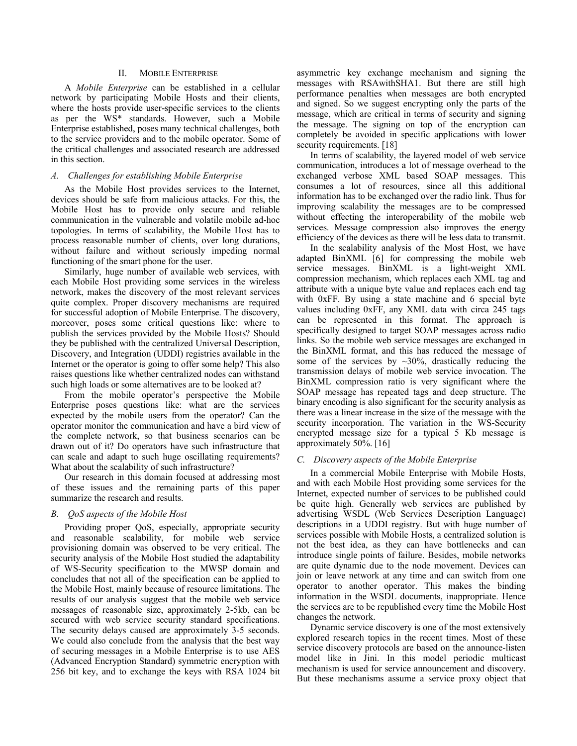### II. MOBILE ENTERPRISE

A *Mobile Enterprise* can be established in a cellular network by participating Mobile Hosts and their clients, where the hosts provide user-specific services to the clients as per the WS\* standards. However, such a Mobile Enterprise established, poses many technical challenges, both to the service providers and to the mobile operator. Some of the critical challenges and associated research are addressed in this section.

### *A. Challenges for establishing Mobile Enterprise*

As the Mobile Host provides services to the Internet, devices should be safe from malicious attacks. For this, the Mobile Host has to provide only secure and reliable communication in the vulnerable and volatile mobile ad-hoc topologies. In terms of scalability, the Mobile Host has to process reasonable number of clients, over long durations, without failure and without seriously impeding normal functioning of the smart phone for the user.

Similarly, huge number of available web services, with each Mobile Host providing some services in the wireless network, makes the discovery of the most relevant services quite complex. Proper discovery mechanisms are required for successful adoption of Mobile Enterprise. The discovery, moreover, poses some critical questions like: where to publish the services provided by the Mobile Hosts? Should they be published with the centralized Universal Description, Discovery, and Integration (UDDI) registries available in the Internet or the operator is going to offer some help? This also raises questions like whether centralized nodes can withstand such high loads or some alternatives are to be looked at?

From the mobile operator's perspective the Mobile Enterprise poses questions like: what are the services expected by the mobile users from the operator? Can the operator monitor the communication and have a bird view of the complete network, so that business scenarios can be drawn out of it? Do operators have such infrastructure that can scale and adapt to such huge oscillating requirements? What about the scalability of such infrastructure?

Our research in this domain focused at addressing most of these issues and the remaining parts of this paper summarize the research and results.

#### *B. QoS aspects of the Mobile Host*

Providing proper QoS, especially, appropriate security and reasonable scalability, for mobile web service provisioning domain was observed to be very critical. The security analysis of the Mobile Host studied the adaptability of WS-Security specification to the MWSP domain and concludes that not all of the specification can be applied to the Mobile Host, mainly because of resource limitations. The results of our analysis suggest that the mobile web service messages of reasonable size, approximately 2-5kb, can be secured with web service security standard specifications. The security delays caused are approximately 3-5 seconds. We could also conclude from the analysis that the best way of securing messages in a Mobile Enterprise is to use AES (Advanced Encryption Standard) symmetric encryption with 256 bit key, and to exchange the keys with RSA 1024 bit asymmetric key exchange mechanism and signing the messages with RSAwithSHA1. But there are still high performance penalties when messages are both encrypted and signed. So we suggest encrypting only the parts of the message, which are critical in terms of security and signing the message. The signing on top of the encryption can completely be avoided in specific applications with lower security requirements. [18]

In terms of scalability, the layered model of web service communication, introduces a lot of message overhead to the exchanged verbose XML based SOAP messages. This consumes a lot of resources, since all this additional information has to be exchanged over the radio link. Thus for improving scalability the messages are to be compressed without effecting the interoperability of the mobile web services. Message compression also improves the energy efficiency of the devices as there will be less data to transmit.

In the scalability analysis of the Most Host, we have adapted BinXML [6] for compressing the mobile web service messages. BinXML is a light-weight XML compression mechanism, which replaces each XML tag and attribute with a unique byte value and replaces each end tag with 0xFF. By using a state machine and 6 special byte values including 0xFF, any XML data with circa 245 tags can be represented in this format. The approach is specifically designed to target SOAP messages across radio links. So the mobile web service messages are exchanged in the BinXML format, and this has reduced the message of some of the services by  $\sim$ 30%, drastically reducing the transmission delays of mobile web service invocation. The BinXML compression ratio is very significant where the SOAP message has repeated tags and deep structure. The binary encoding is also significant for the security analysis as there was a linear increase in the size of the message with the security incorporation. The variation in the WS-Security encrypted message size for a typical 5 Kb message is approximately 50%. [16]

### *C. Discovery aspects of the Mobile Enterprise*

In a commercial Mobile Enterprise with Mobile Hosts, and with each Mobile Host providing some services for the Internet, expected number of services to be published could be quite high. Generally web services are published by advertising WSDL (Web Services Description Language) descriptions in a UDDI registry. But with huge number of services possible with Mobile Hosts, a centralized solution is not the best idea, as they can have bottlenecks and can introduce single points of failure. Besides, mobile networks are quite dynamic due to the node movement. Devices can join or leave network at any time and can switch from one operator to another operator. This makes the binding information in the WSDL documents, inappropriate. Hence the services are to be republished every time the Mobile Host changes the network.

Dynamic service discovery is one of the most extensively explored research topics in the recent times. Most of these service discovery protocols are based on the announce-listen model like in Jini. In this model periodic multicast mechanism is used for service announcement and discovery. But these mechanisms assume a service proxy object that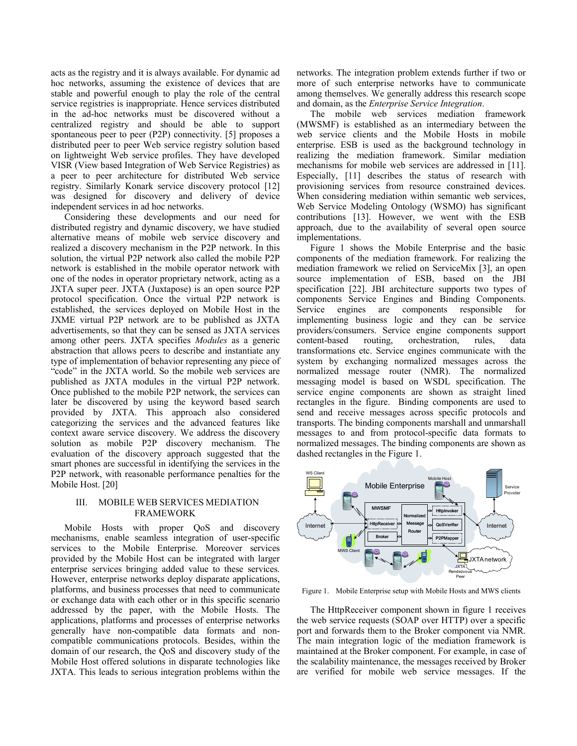acts as the registry and it is always available. For dynamic ad hoc networks, assuming the existence of devices that are stable and powerful enough to play the role of the central service registries is inappropriate. Hence services distributed in the ad-hoc networks must be discovered without a centralized registry and should be able to support spontaneous peer to peer (P2P) connectivity. [5] proposes a distributed peer to peer Web service registry solution based on lightweight Web service profiles. They have developed VISR (View based Integration of Web Service Registries) as a peer to peer architecture for distributed Web service registry. Similarly Konark service discovery protocol [12] was designed for discovery and delivery of device independent services in ad hoc networks.

Considering these developments and our need for distributed registry and dynamic discovery, we have studied alternative means of mobile web service discovery and realized a discovery mechanism in the P2P network. In this solution, the virtual P2P network also called the mobile P2P network is established in the mobile operator network with one of the nodes in operator proprietary network, acting as a JXTA super peer. JXTA (Juxtapose) is an open source P2P protocol specification. Once the virtual P2P network is established, the services deployed on Mobile Host in the JXME virtual P2P network are to be published as JXTA advertisements, so that they can be sensed as JXTA services among other peers. JXTA specifies *Modules* as a generic abstraction that allows peers to describe and instantiate any type of implementation of behavior representing any piece of "code" in the JXTA world. So the mobile web services are published as JXTA modules in the virtual P2P network. Once published to the mobile P2P network, the services can later be discovered by using the keyword based search provided by JXTA. This approach also considered categorizing the services and the advanced features like context aware service discovery. We address the discovery solution as mobile P2P discovery mechanism. The evaluation of the discovery approach suggested that the smart phones are successful in identifying the services in the P2P network, with reasonable performance penalties for the Mobile Host. [20]

# III. MOBILE WEB SERVICES MEDIATION FRAMEWORK

Mobile Hosts with proper QoS and discovery mechanisms, enable seamless integration of user-specific services to the Mobile Enterprise. Moreover services provided by the Mobile Host can be integrated with larger enterprise services bringing added value to these services. However, enterprise networks deploy disparate applications, platforms, and business processes that need to communicate or exchange data with each other or in this specific scenario addressed by the paper, with the Mobile Hosts. The applications, platforms and processes of enterprise networks generally have non-compatible data formats and noncompatible communications protocols. Besides, within the domain of our research, the QoS and discovery study of the Mobile Host offered solutions in disparate technologies like JXTA. This leads to serious integration problems within the

networks. The integration problem extends further if two or more of such enterprise networks have to communicate among themselves. We generally address this research scope and domain, as the *Enterprise Service Integration*.

The mobile web services mediation framework (MWSMF) is established as an intermediary between the web service clients and the Mobile Hosts in mobile enterprise. ESB is used as the background technology in realizing the mediation framework. Similar mediation mechanisms for mobile web services are addressed in [11]. Especially, [11] describes the status of research with provisioning services from resource constrained devices. When considering mediation within semantic web services, Web Service Modeling Ontology (WSMO) has significant contributions [13]. However, we went with the ESB approach, due to the availability of several open source implementations.

Figure 1 shows the Mobile Enterprise and the basic components of the mediation framework. For realizing the mediation framework we relied on ServiceMix [3], an open source implementation of ESB, based on the JBI specification [22]. JBI architecture supports two types of components Service Engines and Binding Components. Service engines are components responsible for implementing business logic and they can be service providers/consumers. Service engine components support content-based routing, orchestration, rules, data transformations etc. Service engines communicate with the system by exchanging normalized messages across the normalized message router (NMR). The normalized messaging model is based on WSDL specification. The service engine components are shown as straight lined rectangles in the figure. Binding components are used to send and receive messages across specific protocols and transports. The binding components marshall and unmarshall messages to and from protocol-specific data formats to normalized messages. The binding components are shown as dashed rectangles in the Figure 1.



Figure 1. Mobile Enterprise setup with Mobile Hosts and MWS clients

The HttpReceiver component shown in figure 1 receives the web service requests (SOAP over HTTP) over a specific port and forwards them to the Broker component via NMR. The main integration logic of the mediation framework is maintained at the Broker component. For example, in case of the scalability maintenance, the messages received by Broker are verified for mobile web service messages. If the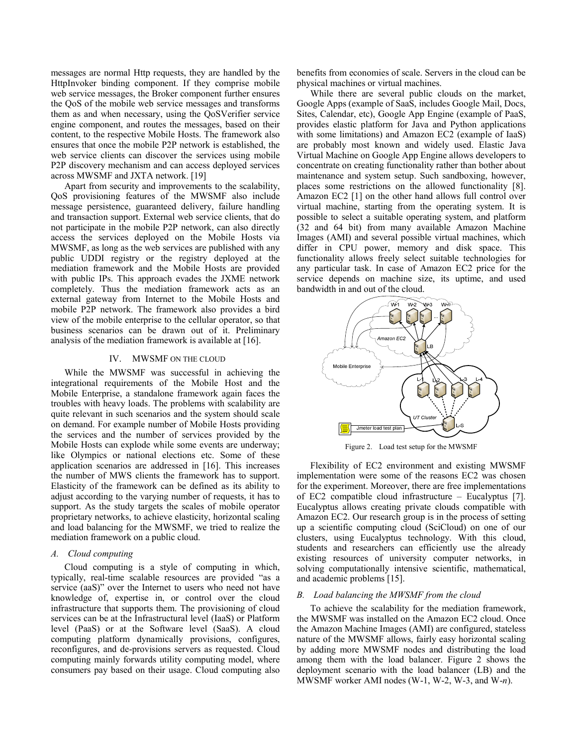messages are normal Http requests, they are handled by the HttpInvoker binding component. If they comprise mobile web service messages, the Broker component further ensures the QoS of the mobile web service messages and transforms them as and when necessary, using the QoSVerifier service engine component, and routes the messages, based on their content, to the respective Mobile Hosts. The framework also ensures that once the mobile P2P network is established, the web service clients can discover the services using mobile P2P discovery mechanism and can access deployed services across MWSMF and JXTA network. [19]

Apart from security and improvements to the scalability, QoS provisioning features of the MWSMF also include message persistence, guaranteed delivery, failure handling and transaction support. External web service clients, that do not participate in the mobile P2P network, can also directly access the services deployed on the Mobile Hosts via MWSMF, as long as the web services are published with any public UDDI registry or the registry deployed at the mediation framework and the Mobile Hosts are provided with public IPs. This approach evades the JXME network completely. Thus the mediation framework acts as an external gateway from Internet to the Mobile Hosts and mobile P2P network. The framework also provides a bird view of the mobile enterprise to the cellular operator, so that business scenarios can be drawn out of it. Preliminary analysis of the mediation framework is available at [16].

#### IV. MWSMF ON THE CLOUD

While the MWSMF was successful in achieving the integrational requirements of the Mobile Host and the Mobile Enterprise, a standalone framework again faces the troubles with heavy loads. The problems with scalability are quite relevant in such scenarios and the system should scale on demand. For example number of Mobile Hosts providing the services and the number of services provided by the Mobile Hosts can explode while some events are underway; like Olympics or national elections etc. Some of these application scenarios are addressed in [16]. This increases the number of MWS clients the framework has to support. Elasticity of the framework can be defined as its ability to adjust according to the varying number of requests, it has to support. As the study targets the scales of mobile operator proprietary networks, to achieve elasticity, horizontal scaling and load balancing for the MWSMF, we tried to realize the mediation framework on a public cloud.

#### *A. Cloud computing*

Cloud computing is a style of computing in which, typically, real-time scalable resources are provided "as a service (aaS)" over the Internet to users who need not have knowledge of, expertise in, or control over the cloud infrastructure that supports them. The provisioning of cloud services can be at the Infrastructural level (IaaS) or Platform level (PaaS) or at the Software level (SaaS). A cloud computing platform dynamically provisions, configures, reconfigures, and de-provisions servers as requested. Cloud computing mainly forwards utility computing model, where consumers pay based on their usage. Cloud computing also benefits from economies of scale. Servers in the cloud can be physical machines or virtual machines.

While there are several public clouds on the market, Google Apps (example of SaaS, includes Google Mail, Docs, Sites, Calendar, etc), Google App Engine (example of PaaS, provides elastic platform for Java and Python applications with some limitations) and Amazon EC2 (example of IaaS) are probably most known and widely used. Elastic Java Virtual Machine on Google App Engine allows developers to concentrate on creating functionality rather than bother about maintenance and system setup. Such sandboxing, however, places some restrictions on the allowed functionality [8]. Amazon EC2 [1] on the other hand allows full control over virtual machine, starting from the operating system. It is possible to select a suitable operating system, and platform (32 and 64 bit) from many available Amazon Machine Images (AMI) and several possible virtual machines, which differ in CPU power, memory and disk space. This functionality allows freely select suitable technologies for any particular task. In case of Amazon EC2 price for the service depends on machine size, its uptime, and used bandwidth in and out of the cloud.



Figure 2. Load test setup for the MWSMF

Flexibility of EC2 environment and existing MWSMF implementation were some of the reasons EC2 was chosen for the experiment. Moreover, there are free implementations of EC2 compatible cloud infrastructure – Eucalyptus [7]. Eucalyptus allows creating private clouds compatible with Amazon EC2. Our research group is in the process of setting up a scientific computing cloud (SciCloud) on one of our clusters, using Eucalyptus technology. With this cloud, students and researchers can efficiently use the already existing resources of university computer networks, in solving computationally intensive scientific, mathematical, and academic problems [15].

#### *B. Load balancing the MWSMF from the cloud*

To achieve the scalability for the mediation framework, the MWSMF was installed on the Amazon EC2 cloud. Once the Amazon Machine Images (AMI) are configured, stateless nature of the MWSMF allows, fairly easy horizontal scaling by adding more MWSMF nodes and distributing the load among them with the load balancer. Figure 2 shows the deployment scenario with the load balancer (LB) and the MWSMF worker AMI nodes (W-1, W-2, W-3, and W-*n*).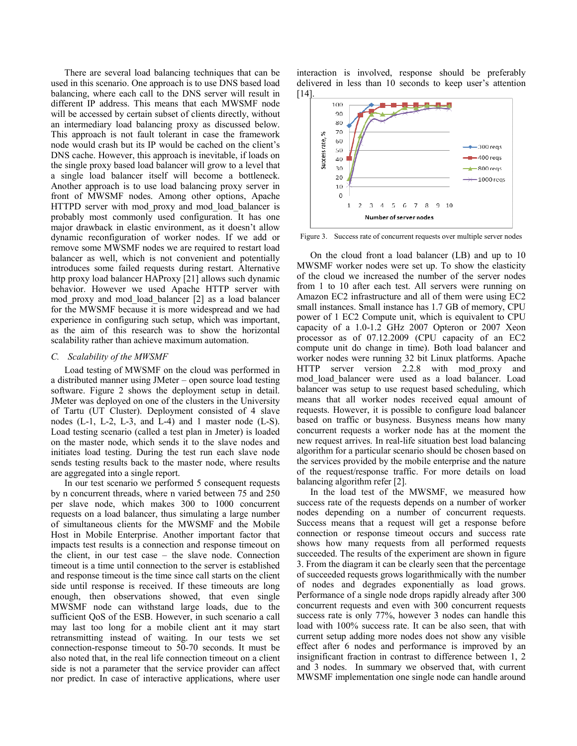There are several load balancing techniques that can be used in this scenario. One approach is to use DNS based load balancing, where each call to the DNS server will result in different IP address. This means that each MWSMF node will be accessed by certain subset of clients directly, without an intermediary load balancing proxy as discussed below. This approach is not fault tolerant in case the framework node would crash but its IP would be cached on the client's DNS cache. However, this approach is inevitable, if loads on the single proxy based load balancer will grow to a level that a single load balancer itself will become a bottleneck. Another approach is to use load balancing proxy server in front of MWSMF nodes. Among other options, Apache HTTPD server with mod\_proxy and mod\_load balancer is probably most commonly used configuration. It has one major drawback in elastic environment, as it doesn't allow dynamic reconfiguration of worker nodes. If we add or remove some MWSMF nodes we are required to restart load balancer as well, which is not convenient and potentially introduces some failed requests during restart. Alternative http proxy load balancer HAProxy [21] allows such dynamic behavior. However we used Apache HTTP server with mod\_proxy and mod\_load\_balancer [2] as a load balancer for the MWSMF because it is more widespread and we had experience in configuring such setup, which was important, as the aim of this research was to show the horizontal scalability rather than achieve maximum automation.

### *C. Scalability of the MWSMF*

Load testing of MWSMF on the cloud was performed in a distributed manner using JMeter – open source load testing software. Figure 2 shows the deployment setup in detail. JMeter was deployed on one of the clusters in the University of Tartu (UT Cluster). Deployment consisted of 4 slave nodes (L-1, L-2, L-3, and L-4) and 1 master node (L-S). Load testing scenario (called a test plan in Jmeter) is loaded on the master node, which sends it to the slave nodes and initiates load testing. During the test run each slave node sends testing results back to the master node, where results are aggregated into a single report.

In our test scenario we performed 5 consequent requests by n concurrent threads, where n varied between 75 and 250 per slave node, which makes 300 to 1000 concurrent requests on a load balancer, thus simulating a large number of simultaneous clients for the MWSMF and the Mobile Host in Mobile Enterprise. Another important factor that impacts test results is a connection and response timeout on the client, in our test case – the slave node. Connection timeout is a time until connection to the server is established and response timeout is the time since call starts on the client side until response is received. If these timeouts are long enough, then observations showed, that even single MWSMF node can withstand large loads, due to the sufficient QoS of the ESB. However, in such scenario a call may last too long for a mobile client ant it may start retransmitting instead of waiting. In our tests we set connection-response timeout to 50-70 seconds. It must be also noted that, in the real life connection timeout on a client side is not a parameter that the service provider can affect nor predict. In case of interactive applications, where user

interaction is involved, response should be preferably delivered in less than 10 seconds to keep user's attention [14].



Figure 3. Success rate of concurrent requests over multiple server nodes

On the cloud front a load balancer (LB) and up to 10 MWSMF worker nodes were set up. To show the elasticity of the cloud we increased the number of the server nodes from 1 to 10 after each test. All servers were running on Amazon EC2 infrastructure and all of them were using EC2 small instances. Small instance has 1.7 GB of memory, CPU power of 1 EC2 Compute unit, which is equivalent to CPU capacity of a 1.0-1.2 GHz 2007 Opteron or 2007 Xeon processor as of 07.12.2009 (CPU capacity of an EC2 compute unit do change in time). Both load balancer and worker nodes were running 32 bit Linux platforms. Apache HTTP server version 2.2.8 with mod proxy and mod\_load\_balancer were used as a load balancer. Load balancer was setup to use request based scheduling, which means that all worker nodes received equal amount of requests. However, it is possible to configure load balancer based on traffic or busyness. Busyness means how many concurrent requests a worker node has at the moment the new request arrives. In real-life situation best load balancing algorithm for a particular scenario should be chosen based on the services provided by the mobile enterprise and the nature of the request/response traffic. For more details on load balancing algorithm refer [2].

In the load test of the MWSMF, we measured how success rate of the requests depends on a number of worker nodes depending on a number of concurrent requests. Success means that a request will get a response before connection or response timeout occurs and success rate shows how many requests from all performed requests succeeded. The results of the experiment are shown in figure 3. From the diagram it can be clearly seen that the percentage of succeeded requests grows logarithmically with the number of nodes and degrades exponentially as load grows. Performance of a single node drops rapidly already after 300 concurrent requests and even with 300 concurrent requests success rate is only 77%, however 3 nodes can handle this load with 100% success rate. It can be also seen, that with current setup adding more nodes does not show any visible effect after 6 nodes and performance is improved by an insignificant fraction in contrast to difference between 1, 2 and 3 nodes. In summary we observed that, with current MWSMF implementation one single node can handle around